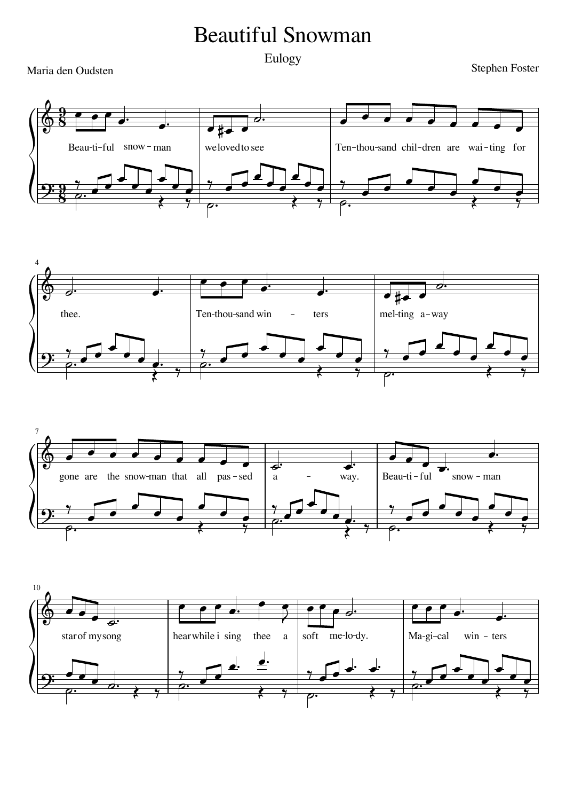## Beautiful Snowman

Maria den Oudsten

Eulogy<br>
Stephen Foster